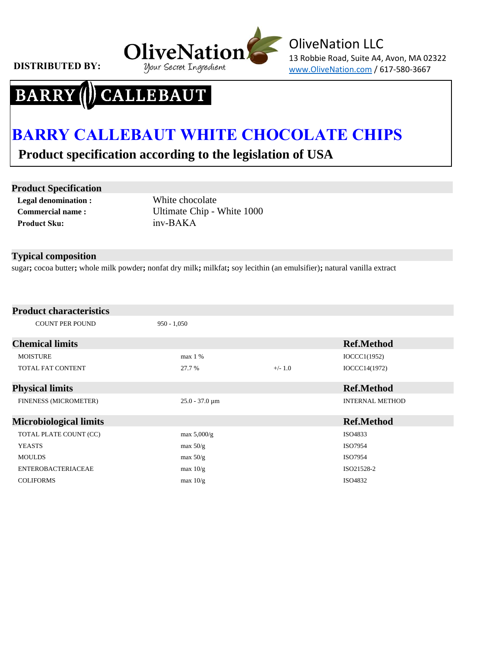

### CALLEBAUT **BARRY**

# **BARRY CALLEBAUT WHITE CHOCOLATE CHIPS**

 **Product specification according to the legislation of USA**

#### **Product Specification**

**Legal denomination : Commercial name : Product Sku:** 

White chocolate Ultimate Chip - White 1000 inv-BAKA

#### **Typical composition**

sugar**;** cocoa butter**;** whole milk powder**;** nonfat dry milk**;** milkfat**;** soy lecithin (an emulsifier)**;** natural vanilla extract

#### **Product characteristics**

| <b>COUNT PER POUND</b>        | $950 - 1,050$                    |           |                        |
|-------------------------------|----------------------------------|-----------|------------------------|
| <b>Chemical limits</b>        |                                  |           | <b>Ref.Method</b>      |
| <b>MOISTURE</b>               | max 1 %                          |           | IOCCCl(1952)           |
| TOTAL FAT CONTENT             | 27.7 %                           | $+/- 1.0$ | IOCCC14(1972)          |
| <b>Physical limits</b>        |                                  |           | <b>Ref.Method</b>      |
| FINENESS (MICROMETER)         | $25.0 - 37.0 \,\mathrm{\upmu m}$ |           | <b>INTERNAL METHOD</b> |
| <b>Microbiological limits</b> |                                  |           | <b>Ref.Method</b>      |
| TOTAL PLATE COUNT (CC)        | max $5,000/g$                    |           | ISO4833                |
| <b>YEASTS</b>                 | max $50/g$                       |           | ISO7954                |
| <b>MOULDS</b>                 | max $50/g$                       |           | ISO7954                |
| <b>ENTEROBACTERIACEAE</b>     | max $10/g$                       |           | ISO21528-2             |
| <b>COLIFORMS</b>              | max $10/g$                       |           | ISO4832                |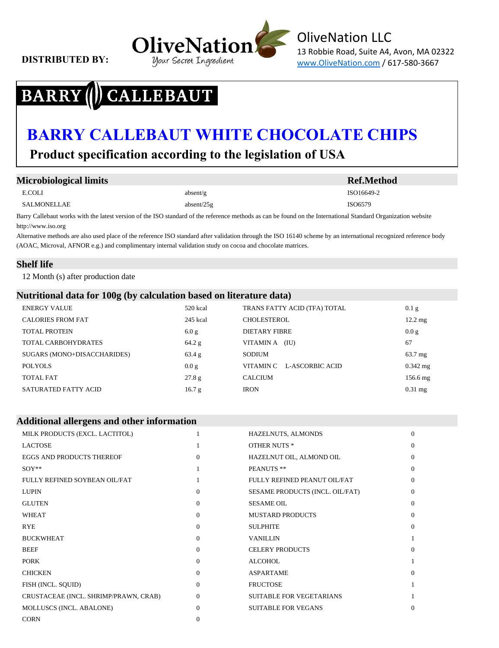

OliveNation LLC 13 Robbie Road, Suite A4, Avon, MA 02322

### **CALLEBAUT BARRY**

## **BARRY CALLEBAUT WHITE CHOCOLATE CHIPS**

 **Product specification according to the legislation of USA**

| <b>Microbiological limits</b> |               | <b>Ref.Method</b> |
|-------------------------------|---------------|-------------------|
| E.COLI                        | absent/g      | ISO16649-2        |
| SALMONELLAE                   | absent/ $25g$ | ISO6579           |
| $\sim$                        | .<br>.        |                   |

Barry Callebaut works with the latest version of the ISO standard of the reference methods as can be found on the International Standard Organization website http://www.iso.org

Alternative methods are also used place of the reference ISO standard after validation through the ISO 16140 scheme by an international recognized reference body (AOAC, Microval, AFNOR e.g.) and complimentary internal validation study on cocoa and chocolate matrices.

#### **Shelf life**

12 Month (s) after production date

#### **Nutritional data for 100g (by calculation based on literature data)**

| <b>ENERGY VALUE</b>         | 520 kcal | TRANS FATTY ACID (TFA) TOTAL | 0.1 <sub>g</sub>  |
|-----------------------------|----------|------------------------------|-------------------|
| <b>CALORIES FROM FAT</b>    | 245 kcal | CHOLESTEROL                  | $12.2 \text{ mg}$ |
| <b>TOTAL PROTEIN</b>        | 6.0 g    | <b>DIETARY FIBRE</b>         | 0.0 g             |
| TOTAL CARBOHYDRATES         | 64.2 g   | VITAMINA (IU)                | 67                |
| SUGARS (MONO+DISACCHARIDES) | 63.4 g   | <b>SODIUM</b>                | $63.7 \text{ mg}$ |
| POLYOLS                     | 0.0 g    | L-ASCORBIC ACID<br>VITAMIN C | $0.342$ mg        |
| <b>TOTAL FAT</b>            | 27.8 g   | <b>CALCIUM</b>               | 156.6 mg          |
| SATURATED FATTY ACID        | 16.7 g   | <b>IRON</b>                  | $0.31$ mg         |

| <b>Additional allergens and other information</b> |          |                                 |                |  |
|---------------------------------------------------|----------|---------------------------------|----------------|--|
| MILK PRODUCTS (EXCL. LACTITOL)                    |          | HAZELNUTS, ALMONDS              | $\overline{0}$ |  |
| <b>LACTOSE</b>                                    |          | <b>OTHER NUTS *</b>             | $\overline{0}$ |  |
| <b>EGGS AND PRODUCTS THEREOF</b>                  | $\Omega$ | HAZELNUT OIL, ALMOND OIL        | $\Omega$       |  |
| $SOY**$                                           |          | PEANUTS **                      | $\theta$       |  |
| FULLY REFINED SOYBEAN OIL/FAT                     |          | FULLY REFINED PEANUT OIL/FAT    | $\mathbf{0}$   |  |
| <b>LUPIN</b>                                      | $\Omega$ | SESAME PRODUCTS (INCL. OIL/FAT) | $\mathbf{0}$   |  |
| <b>GLUTEN</b>                                     | $\Omega$ | <b>SESAME OIL</b>               | $\mathbf{0}$   |  |
| <b>WHEAT</b>                                      | $\Omega$ | <b>MUSTARD PRODUCTS</b>         | $\Omega$       |  |
| <b>RYE</b>                                        | $\Omega$ | <b>SULPHITE</b>                 | $\mathbf{0}$   |  |
| <b>BUCKWHEAT</b>                                  | $\Omega$ | <b>VANILLIN</b>                 |                |  |
| <b>BEEF</b>                                       | $\Omega$ | <b>CELERY PRODUCTS</b>          | $\Omega$       |  |
| <b>PORK</b>                                       | $\Omega$ | <b>ALCOHOL</b>                  |                |  |
| <b>CHICKEN</b>                                    | $\Omega$ | <b>ASPARTAME</b>                | $\Omega$       |  |
| FISH (INCL. SQUID)                                | $\Omega$ | <b>FRUCTOSE</b>                 |                |  |
| CRUSTACEAE (INCL. SHRIMP/PRAWN, CRAB)             | $\Omega$ | <b>SUITABLE FOR VEGETARIANS</b> |                |  |
| MOLLUSCS (INCL. ABALONE)                          | $\Omega$ | <b>SUITABLE FOR VEGANS</b>      | $\theta$       |  |
| <b>CORN</b>                                       | $\Omega$ |                                 |                |  |